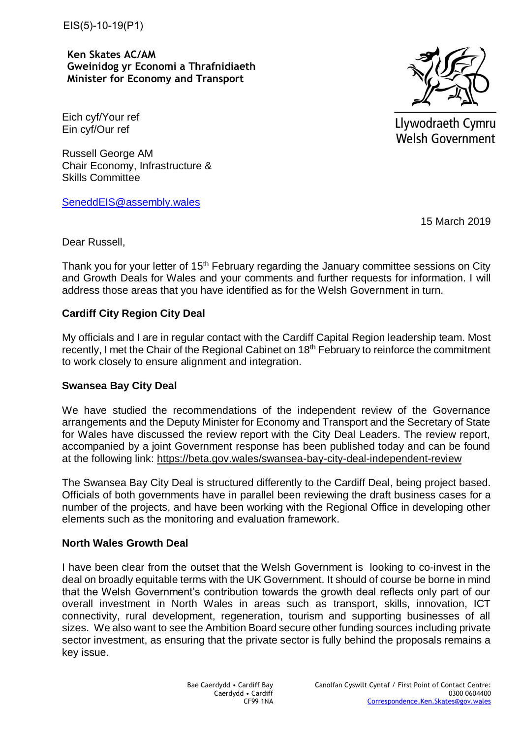EIS(5)-10-19(P1)

**Ken Skates AC/AM Gweinidog yr Economi a Thrafnidiaeth Minister for Economy and Transport**

Eich cyf/Your ref Ein cyf/Our ref

Russell George AM Chair Economy, Infrastructure & [Skills Committee](mailto:SeneddEIS@assembly.wales) 

SeneddEIS@assembly.wales

15 March 2019

Dear Russell,

Thank you for your letter of 15<sup>th</sup> February regarding the January committee sessions on City and Growth Deals for Wales and your comments and further requests for information. I will address those areas that you have identified as for the Welsh Government in turn.

# **Cardiff City Region City Deal**

My officials and I are in regular contact with the Cardiff Capital Region leadership team. Most recently, I met the Chair of the Regional Cabinet on 18<sup>th</sup> February to reinforce the commitment to work closely to ensure alignment and integration.

# **Swansea Bay City Deal**

We have studied the recommendations of the independent review of the Governance arrangements and the Deputy Minister for Economy and Transport and the Secretary of State for Wales have discussed the review report with the City Deal Leaders. The review report, accompanied by a joint Government response has been published today and can be found at the following link: <https://beta.gov.wales/swansea-bay-city-deal-independent-review>

The Swansea Bay City Deal is structured differently to the Cardiff Deal, being project based. Officials of both governments have in parallel been reviewing the draft business cases for a number of the projects, and have been working with the Regional Office in developing other elements such as the monitoring and evaluation framework.

# **North Wales Growth Deal**

I have been clear from the outset that the Welsh Government is looking to co-invest in the deal on broadly equitable terms with the UK Government. It should of course be borne in mind that the Welsh Government's contribution towards the growth deal reflects only part of our overall investment in North Wales in areas such as transport, skills, innovation, ICT connectivity, rural development, regeneration, tourism and supporting businesses of all sizes. We also want to see the Ambition Board secure other funding sources including private sector investment, as ensuring that the private sector is fully behind the proposals remains a key issue.



Llywodraeth Cymru **Welsh Government**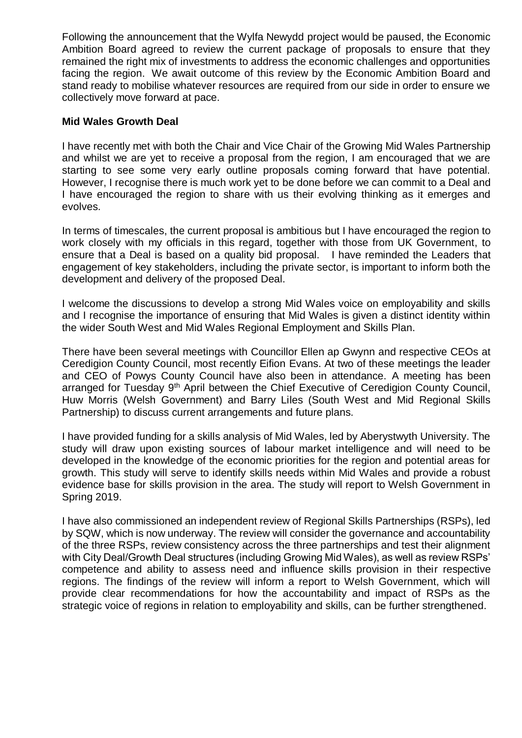Following the announcement that the Wylfa Newydd project would be paused, the Economic Ambition Board agreed to review the current package of proposals to ensure that they remained the right mix of investments to address the economic challenges and opportunities facing the region. We await outcome of this review by the Economic Ambition Board and stand ready to mobilise whatever resources are required from our side in order to ensure we collectively move forward at pace.

# **Mid Wales Growth Deal**

I have recently met with both the Chair and Vice Chair of the Growing Mid Wales Partnership and whilst we are yet to receive a proposal from the region, I am encouraged that we are starting to see some very early outline proposals coming forward that have potential. However, I recognise there is much work yet to be done before we can commit to a Deal and I have encouraged the region to share with us their evolving thinking as it emerges and evolves.

In terms of timescales, the current proposal is ambitious but I have encouraged the region to work closely with my officials in this regard, together with those from UK Government, to ensure that a Deal is based on a quality bid proposal. I have reminded the Leaders that engagement of key stakeholders, including the private sector, is important to inform both the development and delivery of the proposed Deal.

I welcome the discussions to develop a strong Mid Wales voice on employability and skills and I recognise the importance of ensuring that Mid Wales is given a distinct identity within the wider South West and Mid Wales Regional Employment and Skills Plan.

There have been several meetings with Councillor Ellen ap Gwynn and respective CEOs at Ceredigion County Council, most recently Eifion Evans. At two of these meetings the leader and CEO of Powys County Council have also been in attendance. A meeting has been arranged for Tuesday 9<sup>th</sup> April between the Chief Executive of Ceredigion County Council, Huw Morris (Welsh Government) and Barry Liles (South West and Mid Regional Skills Partnership) to discuss current arrangements and future plans.

I have provided funding for a skills analysis of Mid Wales, led by Aberystwyth University. The study will draw upon existing sources of labour market intelligence and will need to be developed in the knowledge of the economic priorities for the region and potential areas for growth. This study will serve to identify skills needs within Mid Wales and provide a robust evidence base for skills provision in the area. The study will report to Welsh Government in Spring 2019.

I have also commissioned an independent review of Regional Skills Partnerships (RSPs), led by SQW, which is now underway. The review will consider the governance and accountability of the three RSPs, review consistency across the three partnerships and test their alignment with City Deal/Growth Deal structures (including Growing Mid Wales), as well as review RSPs' competence and ability to assess need and influence skills provision in their respective regions. The findings of the review will inform a report to Welsh Government, which will provide clear recommendations for how the accountability and impact of RSPs as the strategic voice of regions in relation to employability and skills, can be further strengthened.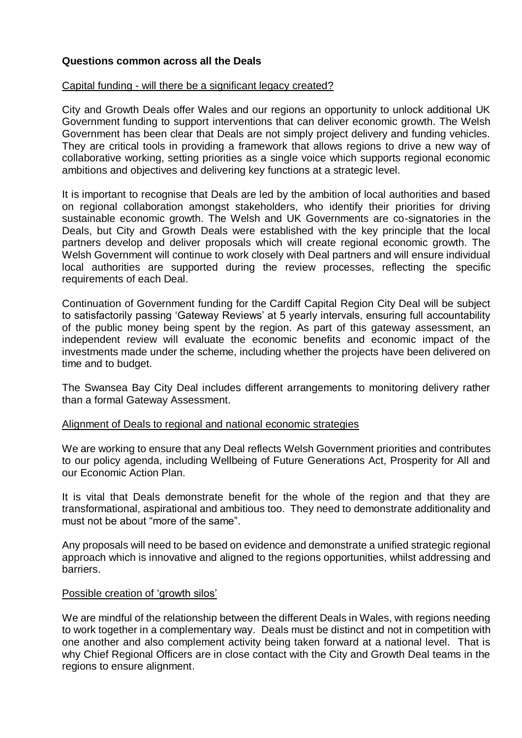# **Questions common across all the Deals**

### Capital funding - will there be a significant legacy created?

City and Growth Deals offer Wales and our regions an opportunity to unlock additional UK Government funding to support interventions that can deliver economic growth. The Welsh Government has been clear that Deals are not simply project delivery and funding vehicles. They are critical tools in providing a framework that allows regions to drive a new way of collaborative working, setting priorities as a single voice which supports regional economic ambitions and objectives and delivering key functions at a strategic level.

It is important to recognise that Deals are led by the ambition of local authorities and based on regional collaboration amongst stakeholders, who identify their priorities for driving sustainable economic growth. The Welsh and UK Governments are co-signatories in the Deals, but City and Growth Deals were established with the key principle that the local partners develop and deliver proposals which will create regional economic growth. The Welsh Government will continue to work closely with Deal partners and will ensure individual local authorities are supported during the review processes, reflecting the specific requirements of each Deal.

Continuation of Government funding for the Cardiff Capital Region City Deal will be subject to satisfactorily passing 'Gateway Reviews' at 5 yearly intervals, ensuring full accountability of the public money being spent by the region. As part of this gateway assessment, an independent review will evaluate the economic benefits and economic impact of the investments made under the scheme, including whether the projects have been delivered on time and to budget.

The Swansea Bay City Deal includes different arrangements to monitoring delivery rather than a formal Gateway Assessment.

### Alignment of Deals to regional and national economic strategies

We are working to ensure that any Deal reflects Welsh Government priorities and contributes to our policy agenda, including Wellbeing of Future Generations Act, Prosperity for All and our Economic Action Plan.

It is vital that Deals demonstrate benefit for the whole of the region and that they are transformational, aspirational and ambitious too. They need to demonstrate additionality and must not be about "more of the same".

Any proposals will need to be based on evidence and demonstrate a unified strategic regional approach which is innovative and aligned to the regions opportunities, whilst addressing and barriers.

### Possible creation of 'growth silos'

We are mindful of the relationship between the different Deals in Wales, with regions needing to work together in a complementary way. Deals must be distinct and not in competition with one another and also complement activity being taken forward at a national level. That is why Chief Regional Officers are in close contact with the City and Growth Deal teams in the regions to ensure alignment.